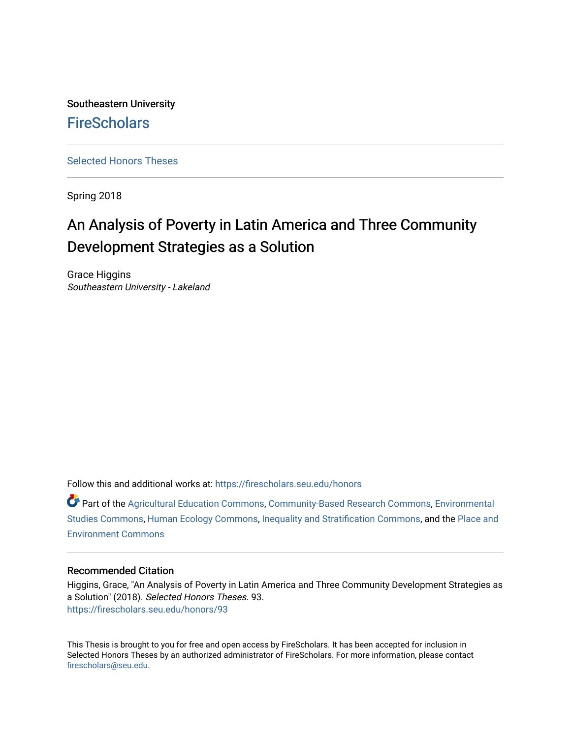Southeastern University **FireScholars** 

[Selected Honors Theses](https://firescholars.seu.edu/honors)

Spring 2018

# An Analysis of Poverty in Latin America and Three Community Development Strategies as a Solution

Grace Higgins Southeastern University - Lakeland

Follow this and additional works at: [https://firescholars.seu.edu/honors](https://firescholars.seu.edu/honors?utm_source=firescholars.seu.edu%2Fhonors%2F93&utm_medium=PDF&utm_campaign=PDFCoverPages)

Part of the [Agricultural Education Commons,](http://network.bepress.com/hgg/discipline/1231?utm_source=firescholars.seu.edu%2Fhonors%2F93&utm_medium=PDF&utm_campaign=PDFCoverPages) [Community-Based Research Commons](http://network.bepress.com/hgg/discipline/1047?utm_source=firescholars.seu.edu%2Fhonors%2F93&utm_medium=PDF&utm_campaign=PDFCoverPages), [Environmental](http://network.bepress.com/hgg/discipline/1333?utm_source=firescholars.seu.edu%2Fhonors%2F93&utm_medium=PDF&utm_campaign=PDFCoverPages) [Studies Commons,](http://network.bepress.com/hgg/discipline/1333?utm_source=firescholars.seu.edu%2Fhonors%2F93&utm_medium=PDF&utm_campaign=PDFCoverPages) [Human Ecology Commons,](http://network.bepress.com/hgg/discipline/1335?utm_source=firescholars.seu.edu%2Fhonors%2F93&utm_medium=PDF&utm_campaign=PDFCoverPages) [Inequality and Stratification Commons,](http://network.bepress.com/hgg/discipline/421?utm_source=firescholars.seu.edu%2Fhonors%2F93&utm_medium=PDF&utm_campaign=PDFCoverPages) and the [Place and](http://network.bepress.com/hgg/discipline/424?utm_source=firescholars.seu.edu%2Fhonors%2F93&utm_medium=PDF&utm_campaign=PDFCoverPages)  [Environment Commons](http://network.bepress.com/hgg/discipline/424?utm_source=firescholars.seu.edu%2Fhonors%2F93&utm_medium=PDF&utm_campaign=PDFCoverPages)

# Recommended Citation

Higgins, Grace, "An Analysis of Poverty in Latin America and Three Community Development Strategies as a Solution" (2018). Selected Honors Theses. 93. [https://firescholars.seu.edu/honors/93](https://firescholars.seu.edu/honors/93?utm_source=firescholars.seu.edu%2Fhonors%2F93&utm_medium=PDF&utm_campaign=PDFCoverPages) 

This Thesis is brought to you for free and open access by FireScholars. It has been accepted for inclusion in Selected Honors Theses by an authorized administrator of FireScholars. For more information, please contact [firescholars@seu.edu.](mailto:firescholars@seu.edu)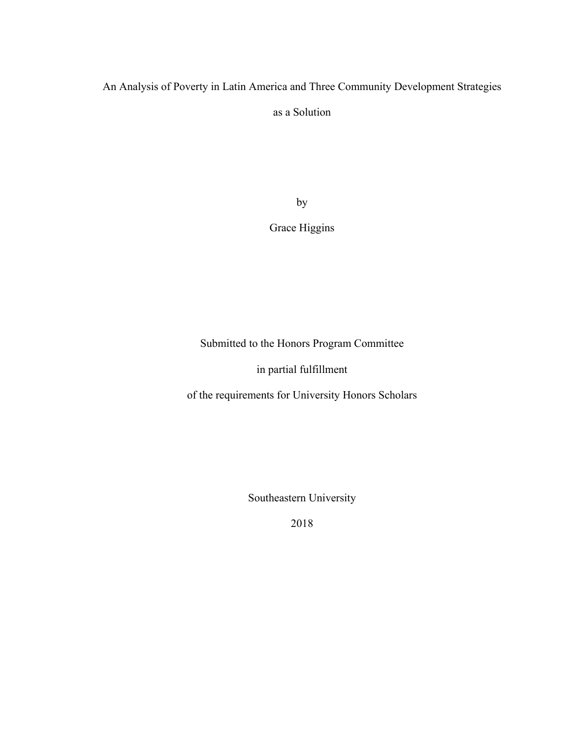# An Analysis of Poverty in Latin America and Three Community Development Strategies

as a Solution

by

Grace Higgins

Submitted to the Honors Program Committee

in partial fulfillment

of the requirements for University Honors Scholars

Southeastern University

2018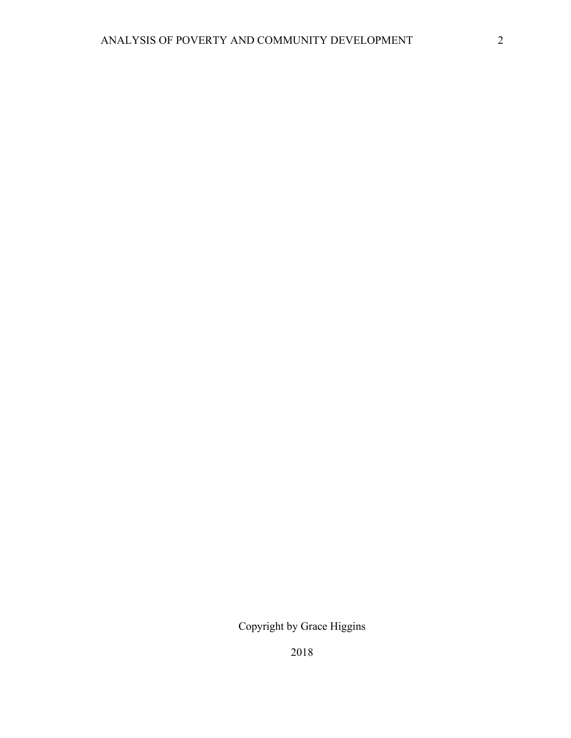Copyright by Grace Higgins

2018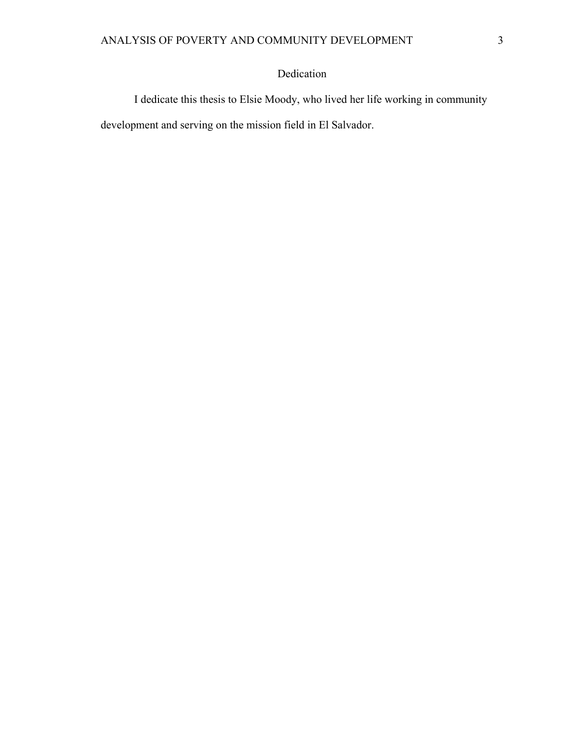# Dedication

I dedicate this thesis to Elsie Moody, who lived her life working in community development and serving on the mission field in El Salvador.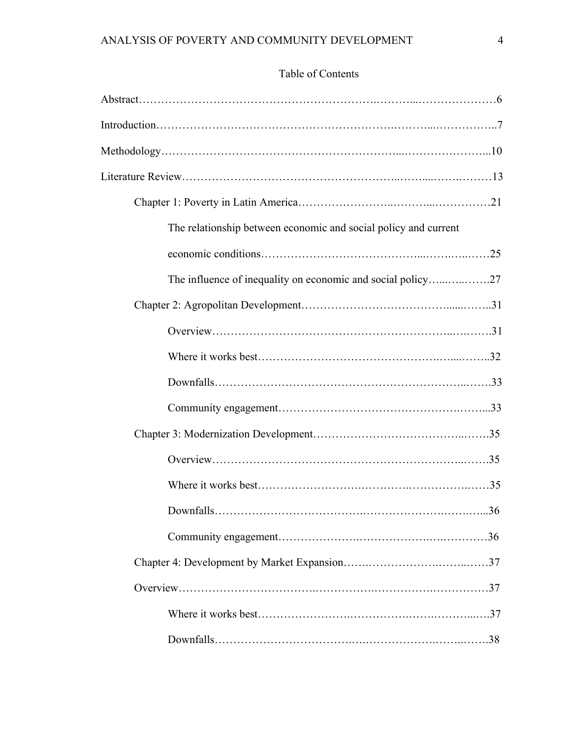# Table of Contents

| The relationship between economic and social policy and current |  |
|-----------------------------------------------------------------|--|
|                                                                 |  |
| The influence of inequality on economic and social policy27     |  |
|                                                                 |  |
|                                                                 |  |
|                                                                 |  |
|                                                                 |  |
|                                                                 |  |
|                                                                 |  |
|                                                                 |  |
|                                                                 |  |
|                                                                 |  |
|                                                                 |  |
|                                                                 |  |
|                                                                 |  |
|                                                                 |  |
|                                                                 |  |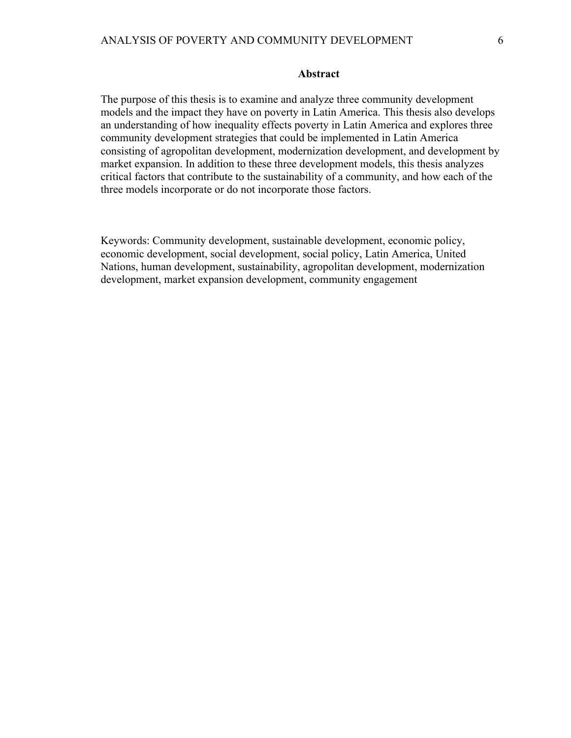The purpose of this thesis is to examine and analyze three community development models and the impact they have on poverty in Latin America. This thesis also develops an understanding of how inequality effects poverty in Latin America and explores three community development strategies that could be implemented in Latin America consisting of agropolitan development, modernization development, and development by market expansion. In addition to these three development models, this thesis analyzes critical factors that contribute to the sustainability of a community, and how each of the three models incorporate or do not incorporate those factors.

Keywords: Community development, sustainable development, economic policy, economic development, social development, social policy, Latin America, United Nations, human development, sustainability, agropolitan development, modernization development, market expansion development, community engagement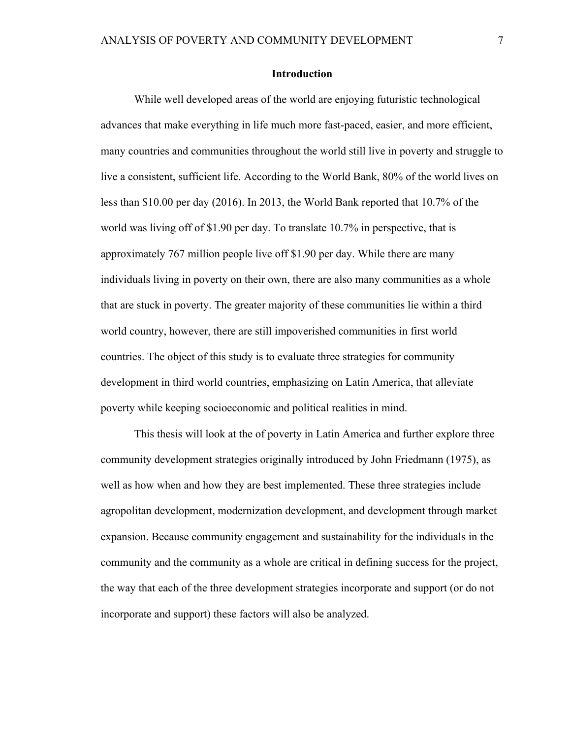### **Introduction**

While well developed areas of the world are enjoying futuristic technological advances that make everything in life much more fast-paced, easier, and more efficient, many countries and communities throughout the world still live in poverty and struggle to live a consistent, sufficient life. According to the World Bank, 80% of the world lives on less than \$10.00 per day (2016). In 2013, the World Bank reported that 10.7% of the world was living off of \$1.90 per day. To translate 10.7% in perspective, that is approximately 767 million people live off \$1.90 per day. While there are many individuals living in poverty on their own, there are also many communities as a whole that are stuck in poverty. The greater majority of these communities lie within a third world country, however, there are still impoverished communities in first world countries. The object of this study is to evaluate three strategies for community development in third world countries, emphasizing on Latin America, that alleviate poverty while keeping socioeconomic and political realities in mind.

This thesis will look at the of poverty in Latin America and further explore three community development strategies originally introduced by John Friedmann (1975), as well as how when and how they are best implemented. These three strategies include agropolitan development, modernization development, and development through market expansion. Because community engagement and sustainability for the individuals in the community and the community as a whole are critical in defining success for the project, the way that each of the three development strategies incorporate and support (or do not incorporate and support) these factors will also be analyzed.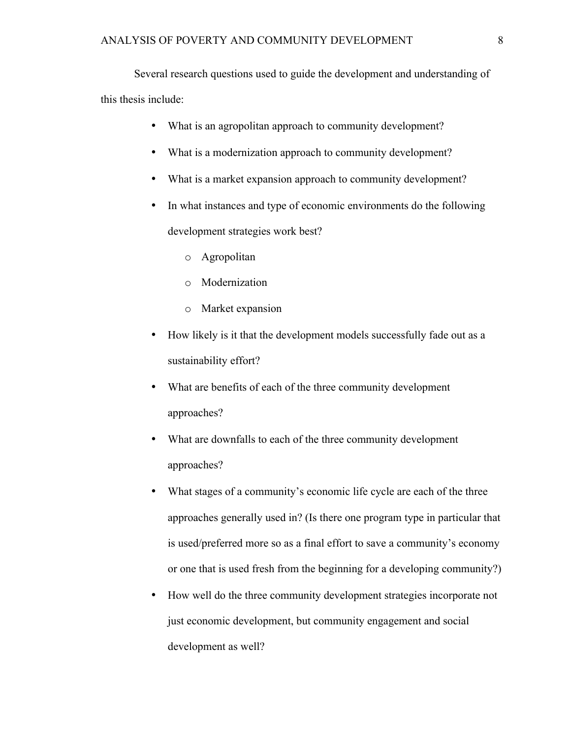Several research questions used to guide the development and understanding of this thesis include:

- What is an agropolitan approach to community development?
- What is a modernization approach to community development?
- What is a market expansion approach to community development?
- In what instances and type of economic environments do the following development strategies work best?
	- o Agropolitan
	- o Modernization
	- o Market expansion
- How likely is it that the development models successfully fade out as a sustainability effort?
- What are benefits of each of the three community development approaches?
- What are downfalls to each of the three community development approaches?
- What stages of a community's economic life cycle are each of the three approaches generally used in? (Is there one program type in particular that is used/preferred more so as a final effort to save a community's economy or one that is used fresh from the beginning for a developing community?)
- How well do the three community development strategies incorporate not just economic development, but community engagement and social development as well?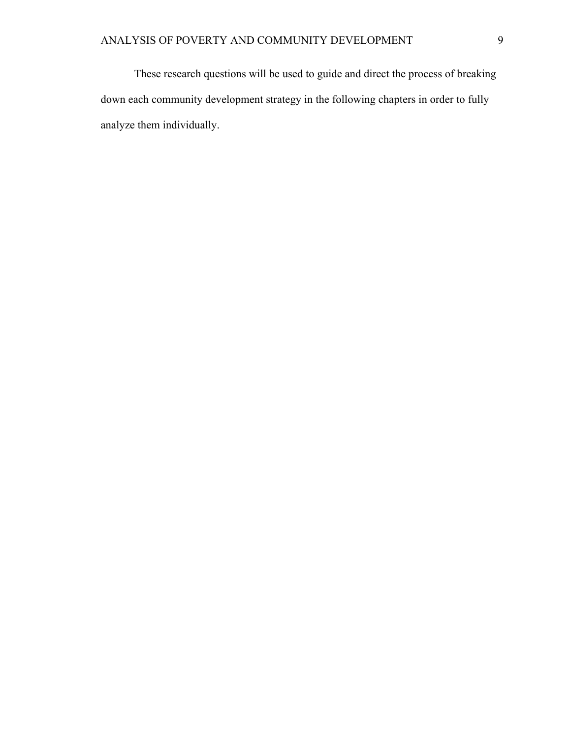These research questions will be used to guide and direct the process of breaking down each community development strategy in the following chapters in order to fully analyze them individually.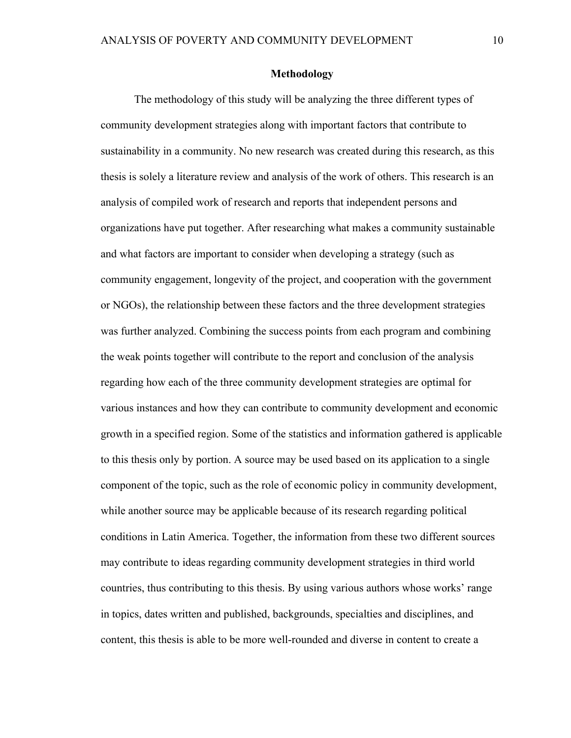### **Methodology**

The methodology of this study will be analyzing the three different types of community development strategies along with important factors that contribute to sustainability in a community. No new research was created during this research, as this thesis is solely a literature review and analysis of the work of others. This research is an analysis of compiled work of research and reports that independent persons and organizations have put together. After researching what makes a community sustainable and what factors are important to consider when developing a strategy (such as community engagement, longevity of the project, and cooperation with the government or NGOs), the relationship between these factors and the three development strategies was further analyzed. Combining the success points from each program and combining the weak points together will contribute to the report and conclusion of the analysis regarding how each of the three community development strategies are optimal for various instances and how they can contribute to community development and economic growth in a specified region. Some of the statistics and information gathered is applicable to this thesis only by portion. A source may be used based on its application to a single component of the topic, such as the role of economic policy in community development, while another source may be applicable because of its research regarding political conditions in Latin America. Together, the information from these two different sources may contribute to ideas regarding community development strategies in third world countries, thus contributing to this thesis. By using various authors whose works' range in topics, dates written and published, backgrounds, specialties and disciplines, and content, this thesis is able to be more well-rounded and diverse in content to create a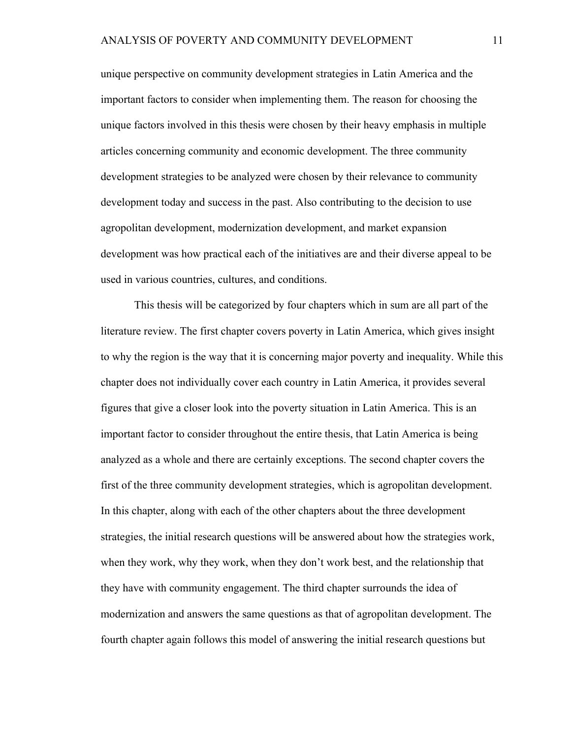unique perspective on community development strategies in Latin America and the important factors to consider when implementing them. The reason for choosing the unique factors involved in this thesis were chosen by their heavy emphasis in multiple articles concerning community and economic development. The three community development strategies to be analyzed were chosen by their relevance to community development today and success in the past. Also contributing to the decision to use agropolitan development, modernization development, and market expansion development was how practical each of the initiatives are and their diverse appeal to be used in various countries, cultures, and conditions.

This thesis will be categorized by four chapters which in sum are all part of the literature review. The first chapter covers poverty in Latin America, which gives insight to why the region is the way that it is concerning major poverty and inequality. While this chapter does not individually cover each country in Latin America, it provides several figures that give a closer look into the poverty situation in Latin America. This is an important factor to consider throughout the entire thesis, that Latin America is being analyzed as a whole and there are certainly exceptions. The second chapter covers the first of the three community development strategies, which is agropolitan development. In this chapter, along with each of the other chapters about the three development strategies, the initial research questions will be answered about how the strategies work, when they work, why they work, when they don't work best, and the relationship that they have with community engagement. The third chapter surrounds the idea of modernization and answers the same questions as that of agropolitan development. The fourth chapter again follows this model of answering the initial research questions but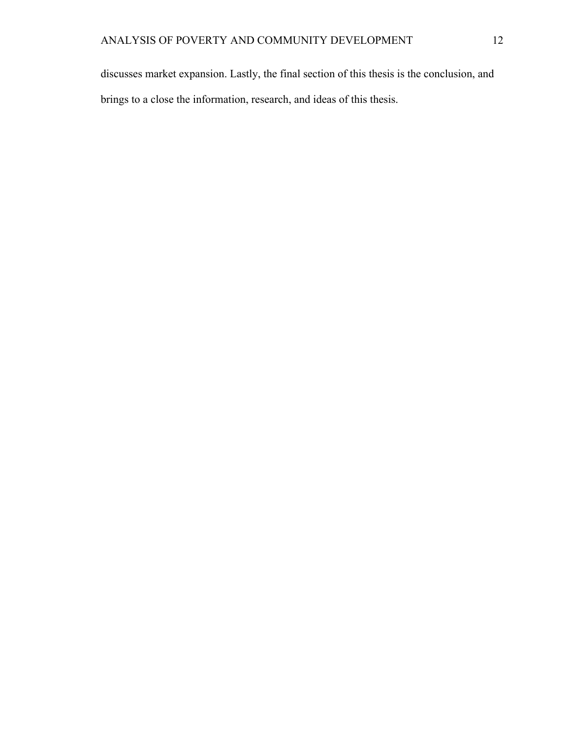discusses market expansion. Lastly, the final section of this thesis is the conclusion, and brings to a close the information, research, and ideas of this thesis.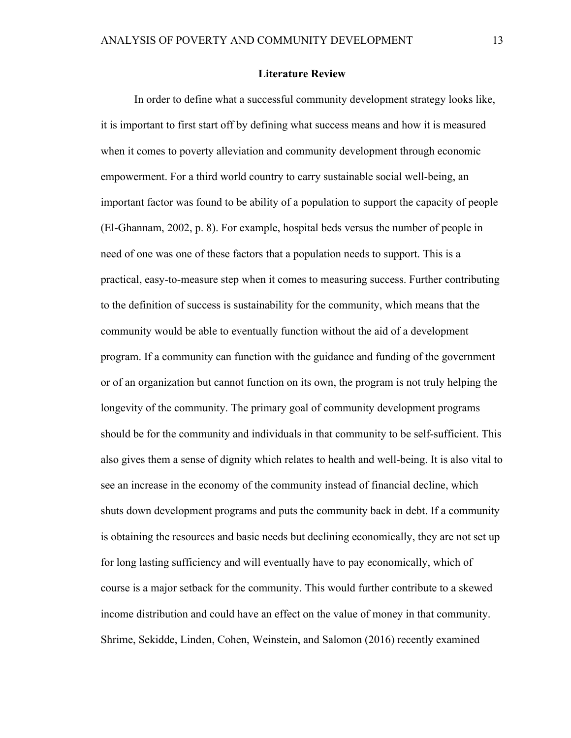### **Literature Review**

In order to define what a successful community development strategy looks like, it is important to first start off by defining what success means and how it is measured when it comes to poverty alleviation and community development through economic empowerment. For a third world country to carry sustainable social well-being, an important factor was found to be ability of a population to support the capacity of people (El-Ghannam, 2002, p. 8). For example, hospital beds versus the number of people in need of one was one of these factors that a population needs to support. This is a practical, easy-to-measure step when it comes to measuring success. Further contributing to the definition of success is sustainability for the community, which means that the community would be able to eventually function without the aid of a development program. If a community can function with the guidance and funding of the government or of an organization but cannot function on its own, the program is not truly helping the longevity of the community. The primary goal of community development programs should be for the community and individuals in that community to be self-sufficient. This also gives them a sense of dignity which relates to health and well-being. It is also vital to see an increase in the economy of the community instead of financial decline, which shuts down development programs and puts the community back in debt. If a community is obtaining the resources and basic needs but declining economically, they are not set up for long lasting sufficiency and will eventually have to pay economically, which of course is a major setback for the community. This would further contribute to a skewed income distribution and could have an effect on the value of money in that community. Shrime, Sekidde, Linden, Cohen, Weinstein, and Salomon (2016) recently examined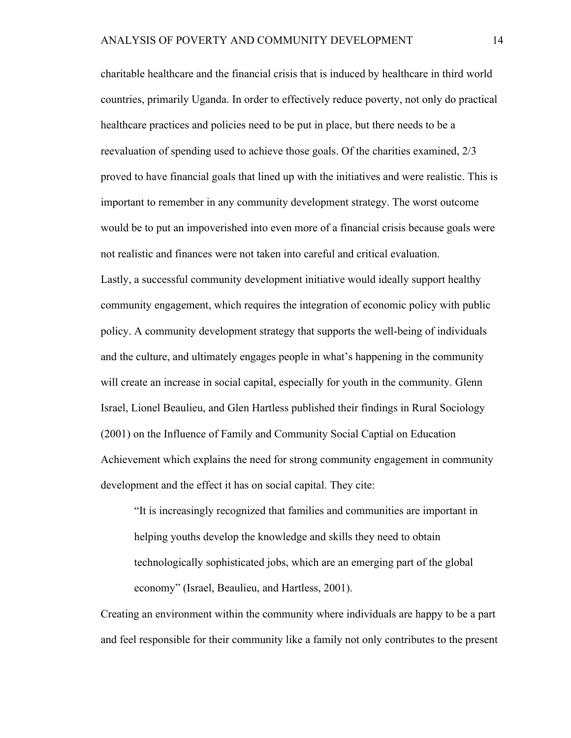charitable healthcare and the financial crisis that is induced by healthcare in third world countries, primarily Uganda. In order to effectively reduce poverty, not only do practical healthcare practices and policies need to be put in place, but there needs to be a reevaluation of spending used to achieve those goals. Of the charities examined, 2/3 proved to have financial goals that lined up with the initiatives and were realistic. This is important to remember in any community development strategy. The worst outcome would be to put an impoverished into even more of a financial crisis because goals were not realistic and finances were not taken into careful and critical evaluation.

Lastly, a successful community development initiative would ideally support healthy community engagement, which requires the integration of economic policy with public policy. A community development strategy that supports the well-being of individuals and the culture, and ultimately engages people in what's happening in the community will create an increase in social capital, especially for youth in the community. Glenn Israel, Lionel Beaulieu, and Glen Hartless published their findings in Rural Sociology (2001) on the Influence of Family and Community Social Captial on Education Achievement which explains the need for strong community engagement in community development and the effect it has on social capital. They cite:

"It is increasingly recognized that families and communities are important in helping youths develop the knowledge and skills they need to obtain technologically sophisticated jobs, which are an emerging part of the global economy" (Israel, Beaulieu, and Hartless, 2001).

Creating an environment within the community where individuals are happy to be a part and feel responsible for their community like a family not only contributes to the present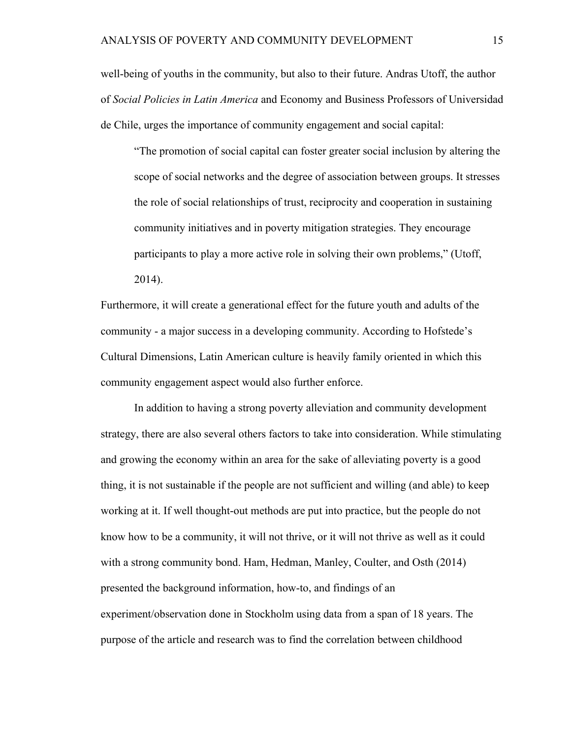well-being of youths in the community, but also to their future. Andras Utoff, the author of *Social Policies in Latin America* and Economy and Business Professors of Universidad de Chile, urges the importance of community engagement and social capital:

"The promotion of social capital can foster greater social inclusion by altering the scope of social networks and the degree of association between groups. It stresses the role of social relationships of trust, reciprocity and cooperation in sustaining community initiatives and in poverty mitigation strategies. They encourage participants to play a more active role in solving their own problems," (Utoff, 2014).

Furthermore, it will create a generational effect for the future youth and adults of the community - a major success in a developing community. According to Hofstede's Cultural Dimensions, Latin American culture is heavily family oriented in which this community engagement aspect would also further enforce.

In addition to having a strong poverty alleviation and community development strategy, there are also several others factors to take into consideration. While stimulating and growing the economy within an area for the sake of alleviating poverty is a good thing, it is not sustainable if the people are not sufficient and willing (and able) to keep working at it. If well thought-out methods are put into practice, but the people do not know how to be a community, it will not thrive, or it will not thrive as well as it could with a strong community bond. Ham, Hedman, Manley, Coulter, and Osth (2014) presented the background information, how-to, and findings of an experiment/observation done in Stockholm using data from a span of 18 years. The purpose of the article and research was to find the correlation between childhood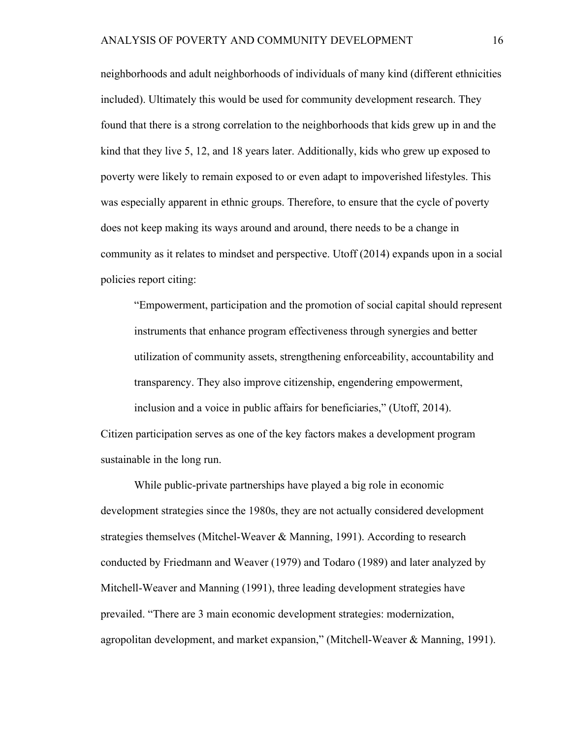neighborhoods and adult neighborhoods of individuals of many kind (different ethnicities included). Ultimately this would be used for community development research. They found that there is a strong correlation to the neighborhoods that kids grew up in and the kind that they live 5, 12, and 18 years later. Additionally, kids who grew up exposed to poverty were likely to remain exposed to or even adapt to impoverished lifestyles. This was especially apparent in ethnic groups. Therefore, to ensure that the cycle of poverty does not keep making its ways around and around, there needs to be a change in community as it relates to mindset and perspective. Utoff (2014) expands upon in a social policies report citing:

"Empowerment, participation and the promotion of social capital should represent instruments that enhance program effectiveness through synergies and better utilization of community assets, strengthening enforceability, accountability and transparency. They also improve citizenship, engendering empowerment, inclusion and a voice in public affairs for beneficiaries," (Utoff, 2014). Citizen participation serves as one of the key factors makes a development program sustainable in the long run.

While public-private partnerships have played a big role in economic development strategies since the 1980s, they are not actually considered development strategies themselves (Mitchel-Weaver & Manning, 1991). According to research conducted by Friedmann and Weaver (1979) and Todaro (1989) and later analyzed by Mitchell-Weaver and Manning (1991), three leading development strategies have prevailed. "There are 3 main economic development strategies: modernization, agropolitan development, and market expansion," (Mitchell-Weaver & Manning, 1991).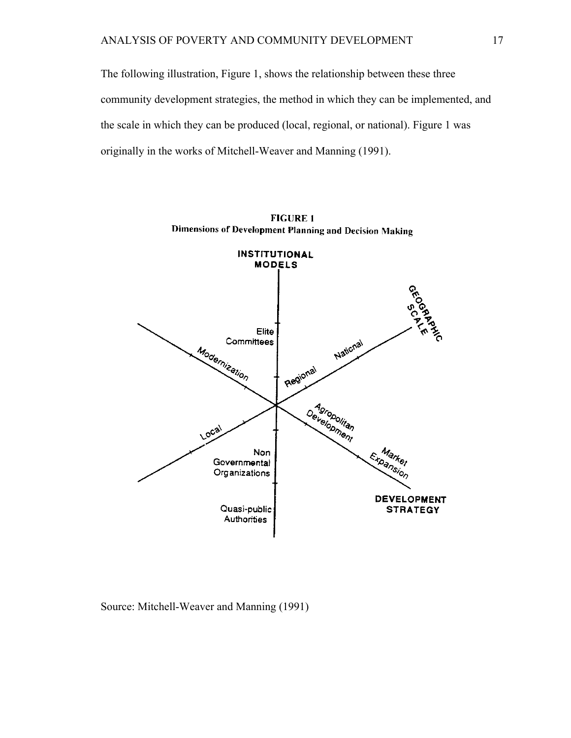The following illustration, Figure 1, shows the relationship between these three community development strategies, the method in which they can be implemented, and the scale in which they can be produced (local, regional, or national). Figure 1 was originally in the works of Mitchell-Weaver and Manning (1991).



**FIGURE 1** Dimensions of Development Planning and Decision Making

Source: Mitchell-Weaver and Manning (1991)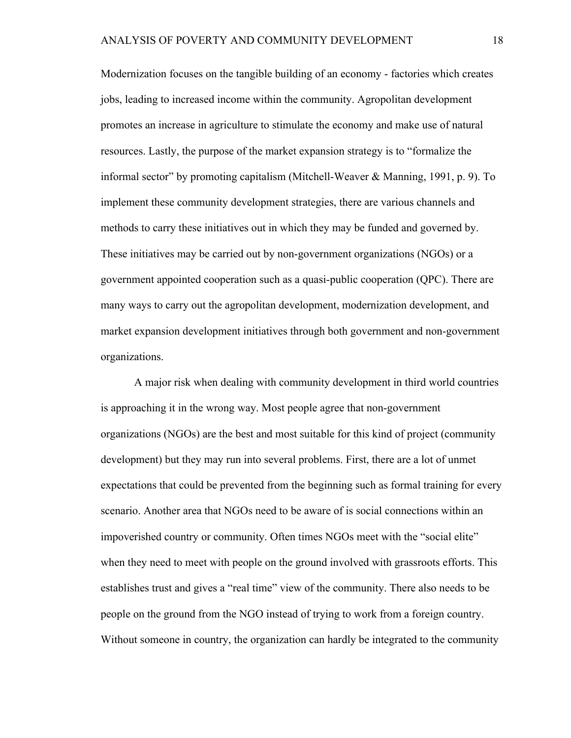Modernization focuses on the tangible building of an economy - factories which creates jobs, leading to increased income within the community. Agropolitan development promotes an increase in agriculture to stimulate the economy and make use of natural resources. Lastly, the purpose of the market expansion strategy is to "formalize the informal sector" by promoting capitalism (Mitchell-Weaver & Manning, 1991, p. 9). To implement these community development strategies, there are various channels and methods to carry these initiatives out in which they may be funded and governed by. These initiatives may be carried out by non-government organizations (NGOs) or a government appointed cooperation such as a quasi-public cooperation (QPC). There are many ways to carry out the agropolitan development, modernization development, and market expansion development initiatives through both government and non-government organizations.

A major risk when dealing with community development in third world countries is approaching it in the wrong way. Most people agree that non-government organizations (NGOs) are the best and most suitable for this kind of project (community development) but they may run into several problems. First, there are a lot of unmet expectations that could be prevented from the beginning such as formal training for every scenario. Another area that NGOs need to be aware of is social connections within an impoverished country or community. Often times NGOs meet with the "social elite" when they need to meet with people on the ground involved with grassroots efforts. This establishes trust and gives a "real time" view of the community. There also needs to be people on the ground from the NGO instead of trying to work from a foreign country. Without someone in country, the organization can hardly be integrated to the community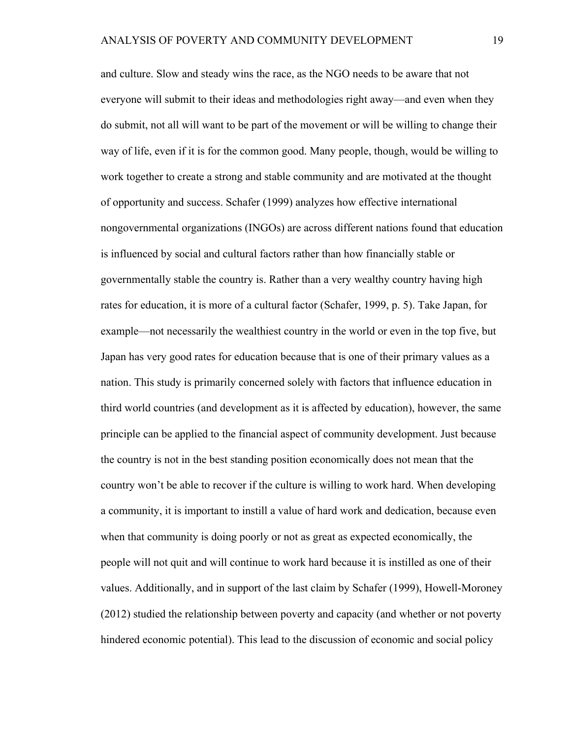and culture. Slow and steady wins the race, as the NGO needs to be aware that not everyone will submit to their ideas and methodologies right away—and even when they do submit, not all will want to be part of the movement or will be willing to change their way of life, even if it is for the common good. Many people, though, would be willing to work together to create a strong and stable community and are motivated at the thought of opportunity and success. Schafer (1999) analyzes how effective international nongovernmental organizations (INGOs) are across different nations found that education is influenced by social and cultural factors rather than how financially stable or governmentally stable the country is. Rather than a very wealthy country having high rates for education, it is more of a cultural factor (Schafer, 1999, p. 5). Take Japan, for example—not necessarily the wealthiest country in the world or even in the top five, but Japan has very good rates for education because that is one of their primary values as a nation. This study is primarily concerned solely with factors that influence education in third world countries (and development as it is affected by education), however, the same principle can be applied to the financial aspect of community development. Just because the country is not in the best standing position economically does not mean that the country won't be able to recover if the culture is willing to work hard. When developing a community, it is important to instill a value of hard work and dedication, because even when that community is doing poorly or not as great as expected economically, the people will not quit and will continue to work hard because it is instilled as one of their values. Additionally, and in support of the last claim by Schafer (1999), Howell-Moroney (2012) studied the relationship between poverty and capacity (and whether or not poverty hindered economic potential). This lead to the discussion of economic and social policy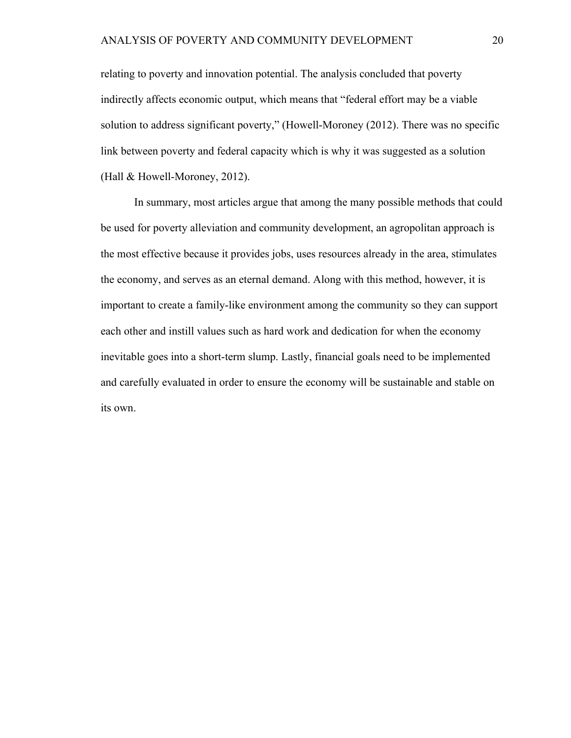relating to poverty and innovation potential. The analysis concluded that poverty indirectly affects economic output, which means that "federal effort may be a viable solution to address significant poverty," (Howell-Moroney (2012). There was no specific link between poverty and federal capacity which is why it was suggested as a solution (Hall & Howell-Moroney, 2012).

In summary, most articles argue that among the many possible methods that could be used for poverty alleviation and community development, an agropolitan approach is the most effective because it provides jobs, uses resources already in the area, stimulates the economy, and serves as an eternal demand. Along with this method, however, it is important to create a family-like environment among the community so they can support each other and instill values such as hard work and dedication for when the economy inevitable goes into a short-term slump. Lastly, financial goals need to be implemented and carefully evaluated in order to ensure the economy will be sustainable and stable on its own.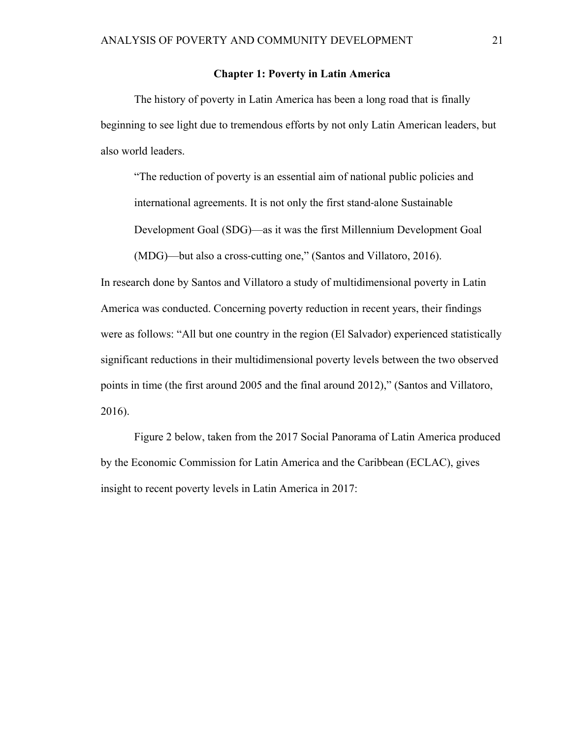# **Chapter 1: Poverty in Latin America**

The history of poverty in Latin America has been a long road that is finally beginning to see light due to tremendous efforts by not only Latin American leaders, but also world leaders.

"The reduction of poverty is an essential aim of national public policies and international agreements. It is not only the first stand-alone Sustainable

Development Goal (SDG)—as it was the first Millennium Development Goal

(MDG)—but also a cross-cutting one," (Santos and Villatoro, 2016).

In research done by Santos and Villatoro a study of multidimensional poverty in Latin America was conducted. Concerning poverty reduction in recent years, their findings were as follows: "All but one country in the region (El Salvador) experienced statistically significant reductions in their multidimensional poverty levels between the two observed points in time (the first around 2005 and the final around 2012)," (Santos and Villatoro, 2016).

Figure 2 below, taken from the 2017 Social Panorama of Latin America produced by the Economic Commission for Latin America and the Caribbean (ECLAC), gives insight to recent poverty levels in Latin America in 2017: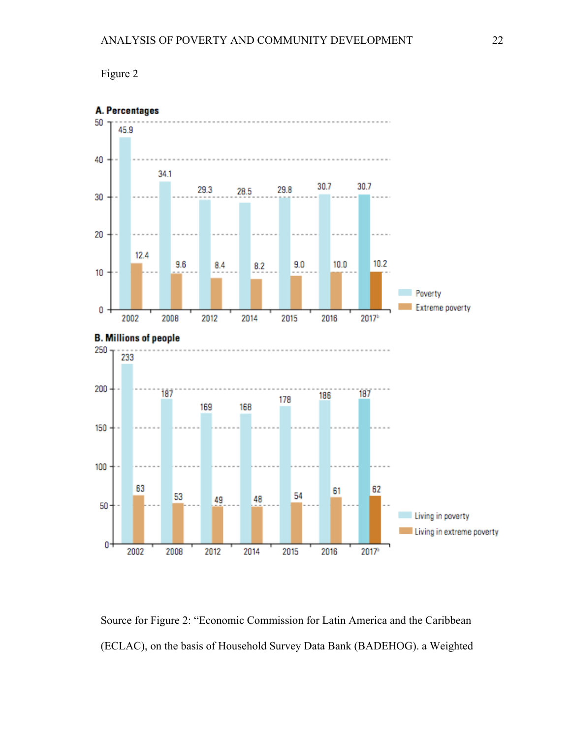



Source for Figure 2: "Economic Commission for Latin America and the Caribbean (ECLAC), on the basis of Household Survey Data Bank (BADEHOG). a Weighted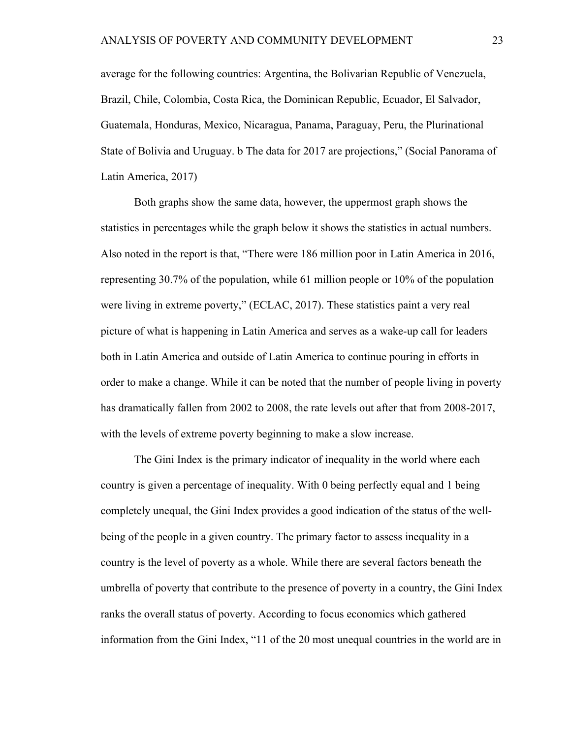average for the following countries: Argentina, the Bolivarian Republic of Venezuela, Brazil, Chile, Colombia, Costa Rica, the Dominican Republic, Ecuador, El Salvador, Guatemala, Honduras, Mexico, Nicaragua, Panama, Paraguay, Peru, the Plurinational State of Bolivia and Uruguay. b The data for 2017 are projections," (Social Panorama of Latin America, 2017)

Both graphs show the same data, however, the uppermost graph shows the statistics in percentages while the graph below it shows the statistics in actual numbers. Also noted in the report is that, "There were 186 million poor in Latin America in 2016, representing 30.7% of the population, while 61 million people or 10% of the population were living in extreme poverty," (ECLAC, 2017). These statistics paint a very real picture of what is happening in Latin America and serves as a wake-up call for leaders both in Latin America and outside of Latin America to continue pouring in efforts in order to make a change. While it can be noted that the number of people living in poverty has dramatically fallen from 2002 to 2008, the rate levels out after that from 2008-2017, with the levels of extreme poverty beginning to make a slow increase.

The Gini Index is the primary indicator of inequality in the world where each country is given a percentage of inequality. With 0 being perfectly equal and 1 being completely unequal, the Gini Index provides a good indication of the status of the wellbeing of the people in a given country. The primary factor to assess inequality in a country is the level of poverty as a whole. While there are several factors beneath the umbrella of poverty that contribute to the presence of poverty in a country, the Gini Index ranks the overall status of poverty. According to focus economics which gathered information from the Gini Index, "11 of the 20 most unequal countries in the world are in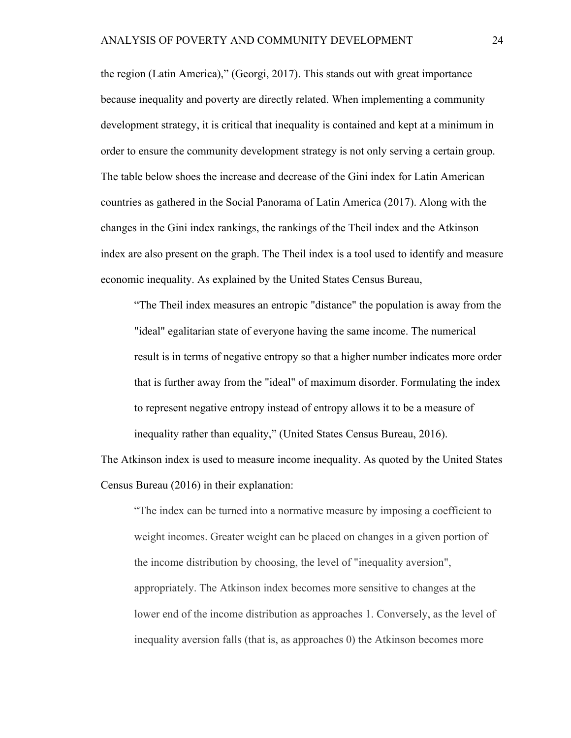the region (Latin America)," (Georgi, 2017). This stands out with great importance because inequality and poverty are directly related. When implementing a community development strategy, it is critical that inequality is contained and kept at a minimum in order to ensure the community development strategy is not only serving a certain group. The table below shoes the increase and decrease of the Gini index for Latin American countries as gathered in the Social Panorama of Latin America (2017). Along with the changes in the Gini index rankings, the rankings of the Theil index and the Atkinson index are also present on the graph. The Theil index is a tool used to identify and measure economic inequality. As explained by the United States Census Bureau,

"The Theil index measures an entropic "distance" the population is away from the "ideal" egalitarian state of everyone having the same income. The numerical result is in terms of negative entropy so that a higher number indicates more order that is further away from the "ideal" of maximum disorder. Formulating the index to represent negative entropy instead of entropy allows it to be a measure of inequality rather than equality," (United States Census Bureau, 2016).

The Atkinson index is used to measure income inequality. As quoted by the United States Census Bureau (2016) in their explanation:

"The index can be turned into a normative measure by imposing a coefficient to weight incomes. Greater weight can be placed on changes in a given portion of the income distribution by choosing, the level of "inequality aversion", appropriately. The Atkinson index becomes more sensitive to changes at the lower end of the income distribution as approaches 1. Conversely, as the level of inequality aversion falls (that is, as approaches 0) the Atkinson becomes more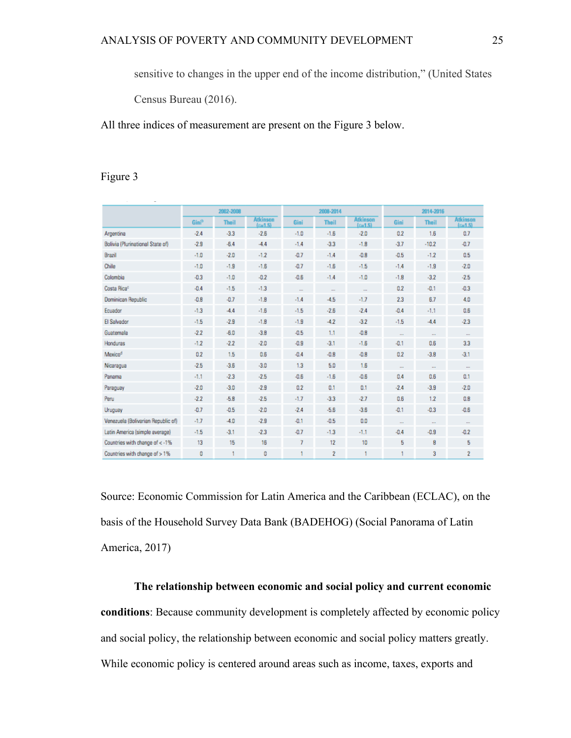sensitive to changes in the upper end of the income distribution," (United States

Census Bureau (2016).

All three indices of measurement are present on the Figure 3 below.

# Figure 3

|                                    | 2002-2008         |              |                              | 2008-2014 |                |                              | 2014-2016 |                |                              |
|------------------------------------|-------------------|--------------|------------------------------|-----------|----------------|------------------------------|-----------|----------------|------------------------------|
|                                    | Gini <sup>b</sup> | <b>Theil</b> | <b>Atkinson</b><br>$s = 1.5$ | Gini      | <b>Theil</b>   | <b>Atkinson</b><br>$E = 1.5$ | Gini      | <b>Theil</b>   | <b>Atkinson</b><br>$k = 1.5$ |
| Argentina                          | $-2.4$            | $-3.3$       | $-2.6$                       | $-1.0$    | $-1.6$         | $-2.0$                       | 0.2       | 1.6            | 0.7                          |
| Bolivia (Plurinational State of)   | $-2.9$            | $-6.4$       | $-4.4$                       | $-1.4$    | $-3.3$         | $-1.8$                       | $-3.7$    | $-10.2$        | $-0.7$                       |
| Brazil                             | $-1.0$            | $-2.0$       | $-1.2$                       | $-0.7$    | $-1.4$         | $-0.8$                       | $-0.5$    | $-1.2$         | 0.5                          |
| Chile                              | $-1.0$            | $-1.9$       | $-1.6$                       | $-0.7$    | $-1.6$         | $-1.5$                       | $-1.4$    | $-1.9$         | $-2.0$                       |
| Colombia                           | $-0.3$            | $-1.0$       | $-0.2$                       | $-0.6$    | $-1.4$         | $-1.0$                       | $-1.8$    | $-3.2$         | $-2.5$                       |
| Costa Rica®                        | $-0.4$            | $-1.5$       | $-1.3$                       | $\cdots$  | $\cdots$       | $\cdots$                     | 0.2       | $-0.1$         | $-0.3$                       |
| Dominican Republic                 | $-0.8$            | $-0.7$       | $-1.8$                       | $-1.4$    | $-4.5$         | $-1.7$                       | 2.3       | 6.7            | 4.0                          |
| Ecuador                            | $-1.3$            | $-4.4$       | $-1.6$                       | $-1.5$    | $-2.6$         | $-2.4$                       | $-0.4$    | $-1.1$         | 0.6                          |
| El Salvador                        | $-1.5$            | $-2.9$       | $-1.8$                       | $-1.9$    | $-4.2$         | $-3.2$                       | $-1.5$    | $-4.4$         | $-2.3$                       |
| Guatemala                          | $-2.2$            | $-6.0$       | $-3.8$                       | $-0.5$    | 1.1            | $-0.8$                       | $\cdots$  | $\cdots$       | $\cdots$                     |
| Honduras                           | $-1.2$            | $-2.2$       | $-2.0$                       | $-0.9$    | $-3.1$         | $-1.6$                       | $-0.1$    | 0.6            | 3.3                          |
| Mexicod                            | 0.2               | 1.5          | 0.6                          | $-0.4$    | $-0.8$         | $-0.8$                       | 0.2       | $-3.8$         | $-3.1$                       |
| Nicaragua                          | $-2.5$            | $-3.6$       | $-3.0$                       | 1.3       | 5.0            | 1.6                          | $\sim$    | $\overline{a}$ | $\cdots$                     |
| Panama                             | $-1.1$            | $-2.3$       | $-2.5$                       | $-0.6$    | $-1.6$         | $-0.6$                       | 0.4       | 0.6            | 0.1                          |
| Paraguay                           | $-2.0$            | $-3.0$       | $-2.9$                       | 0.2       | 0.1            | 0.1                          | $-2.4$    | $-3.9$         | $-2.0$                       |
| Peru                               | $-2.2$            | $-5.8$       | $-2.5$                       | $-1.7$    | $-3.3$         | $-2.7$                       | 0.6       | 1.2            | 0.8                          |
| Uruguay                            | $-0.7$            | $-0.5$       | $-2.0$                       | $-2.4$    | $-5.6$         | $-3.6$                       | $-0.1$    | $-0.3$         | $-0.6$                       |
| Venezuela (Bolivarian Republic of) | $-1.7$            | $-4.0$       | $-2.9$                       | $-0.1$    | $-0.5$         | 0.0                          | $\cdots$  | $\cdots$       | $\cdots$                     |
| Latin America (simple average)     | $-1.5$            | $-3.1$       | $-2.3$                       | $-0.7$    | $-1.3$         | $-1.1$                       | $-0.4$    | $-0.9$         | $-0.2$                       |
| Countries with change of < -1%     | 13                | 15           | 16                           | 7         | 12             | 10                           | 5         | 8              | 5                            |
| Countries with change of > 1%      | 0                 |              | 0                            |           | $\overline{2}$ |                              |           | 3              | $\overline{2}$               |

Source: Economic Commission for Latin America and the Caribbean (ECLAC), on the basis of the Household Survey Data Bank (BADEHOG) (Social Panorama of Latin America, 2017)

**The relationship between economic and social policy and current economic conditions**: Because community development is completely affected by economic policy and social policy, the relationship between economic and social policy matters greatly. While economic policy is centered around areas such as income, taxes, exports and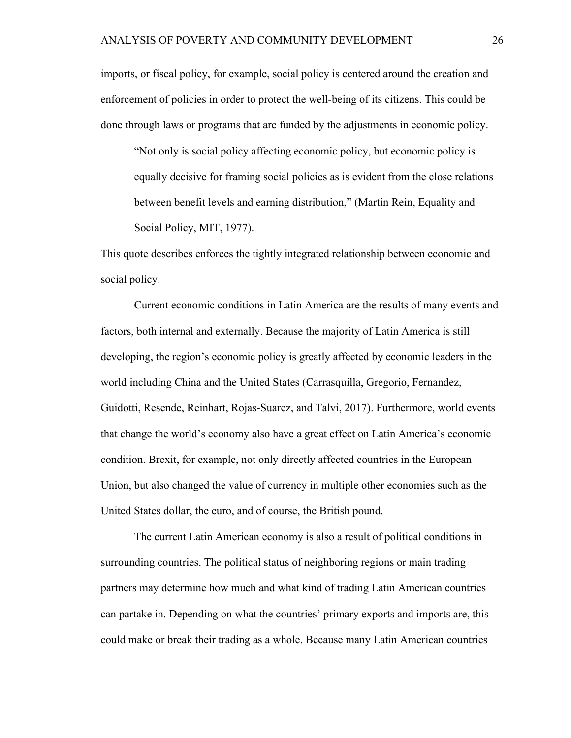imports, or fiscal policy, for example, social policy is centered around the creation and enforcement of policies in order to protect the well-being of its citizens. This could be done through laws or programs that are funded by the adjustments in economic policy.

"Not only is social policy affecting economic policy, but economic policy is equally decisive for framing social policies as is evident from the close relations between benefit levels and earning distribution," (Martin Rein, Equality and Social Policy, MIT, 1977).

This quote describes enforces the tightly integrated relationship between economic and social policy.

Current economic conditions in Latin America are the results of many events and factors, both internal and externally. Because the majority of Latin America is still developing, the region's economic policy is greatly affected by economic leaders in the world including China and the United States (Carrasquilla, Gregorio, Fernandez, Guidotti, Resende, Reinhart, Rojas-Suarez, and Talvi, 2017). Furthermore, world events that change the world's economy also have a great effect on Latin America's economic condition. Brexit, for example, not only directly affected countries in the European Union, but also changed the value of currency in multiple other economies such as the United States dollar, the euro, and of course, the British pound.

The current Latin American economy is also a result of political conditions in surrounding countries. The political status of neighboring regions or main trading partners may determine how much and what kind of trading Latin American countries can partake in. Depending on what the countries' primary exports and imports are, this could make or break their trading as a whole. Because many Latin American countries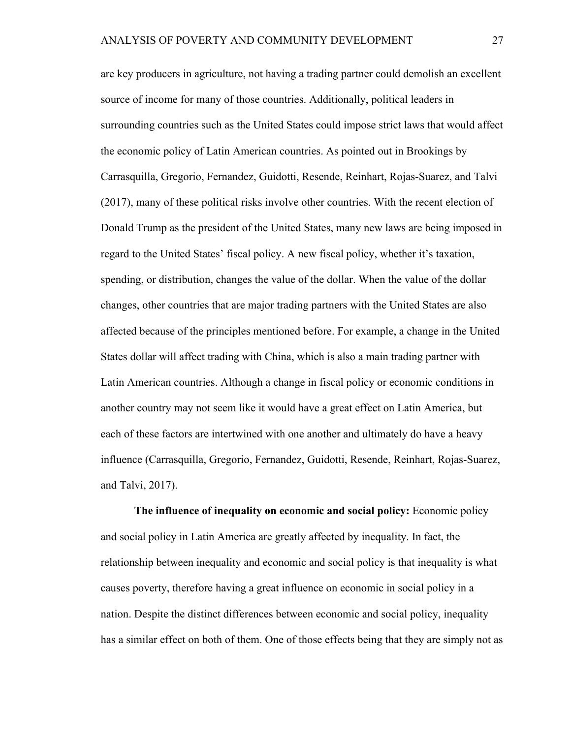are key producers in agriculture, not having a trading partner could demolish an excellent source of income for many of those countries. Additionally, political leaders in surrounding countries such as the United States could impose strict laws that would affect the economic policy of Latin American countries. As pointed out in Brookings by Carrasquilla, Gregorio, Fernandez, Guidotti, Resende, Reinhart, Rojas-Suarez, and Talvi (2017), many of these political risks involve other countries. With the recent election of Donald Trump as the president of the United States, many new laws are being imposed in regard to the United States' fiscal policy. A new fiscal policy, whether it's taxation, spending, or distribution, changes the value of the dollar. When the value of the dollar changes, other countries that are major trading partners with the United States are also affected because of the principles mentioned before. For example, a change in the United States dollar will affect trading with China, which is also a main trading partner with Latin American countries. Although a change in fiscal policy or economic conditions in another country may not seem like it would have a great effect on Latin America, but each of these factors are intertwined with one another and ultimately do have a heavy influence (Carrasquilla, Gregorio, Fernandez, Guidotti, Resende, Reinhart, Rojas-Suarez, and Talvi, 2017).

**The influence of inequality on economic and social policy:** Economic policy and social policy in Latin America are greatly affected by inequality. In fact, the relationship between inequality and economic and social policy is that inequality is what causes poverty, therefore having a great influence on economic in social policy in a nation. Despite the distinct differences between economic and social policy, inequality has a similar effect on both of them. One of those effects being that they are simply not as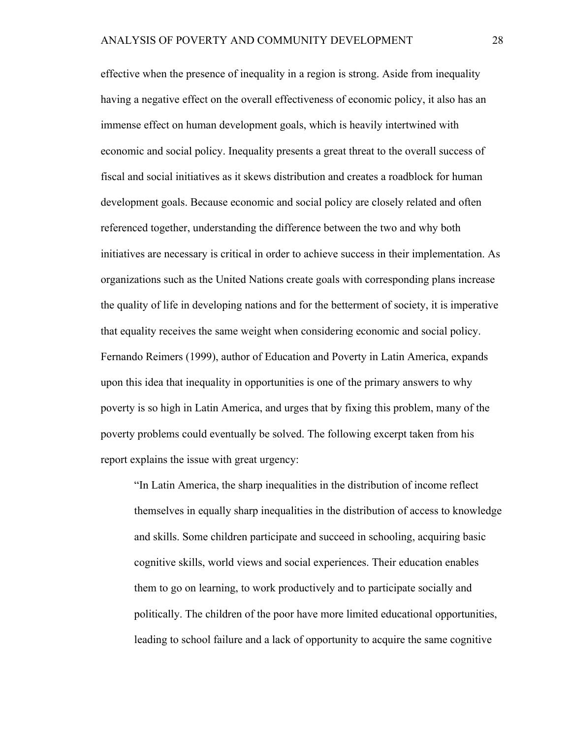effective when the presence of inequality in a region is strong. Aside from inequality having a negative effect on the overall effectiveness of economic policy, it also has an immense effect on human development goals, which is heavily intertwined with economic and social policy. Inequality presents a great threat to the overall success of fiscal and social initiatives as it skews distribution and creates a roadblock for human development goals. Because economic and social policy are closely related and often referenced together, understanding the difference between the two and why both initiatives are necessary is critical in order to achieve success in their implementation. As organizations such as the United Nations create goals with corresponding plans increase the quality of life in developing nations and for the betterment of society, it is imperative that equality receives the same weight when considering economic and social policy. Fernando Reimers (1999), author of Education and Poverty in Latin America, expands upon this idea that inequality in opportunities is one of the primary answers to why poverty is so high in Latin America, and urges that by fixing this problem, many of the poverty problems could eventually be solved. The following excerpt taken from his report explains the issue with great urgency:

"In Latin America, the sharp inequalities in the distribution of income reflect themselves in equally sharp inequalities in the distribution of access to knowledge and skills. Some children participate and succeed in schooling, acquiring basic cognitive skills, world views and social experiences. Their education enables them to go on learning, to work productively and to participate socially and politically. The children of the poor have more limited educational opportunities, leading to school failure and a lack of opportunity to acquire the same cognitive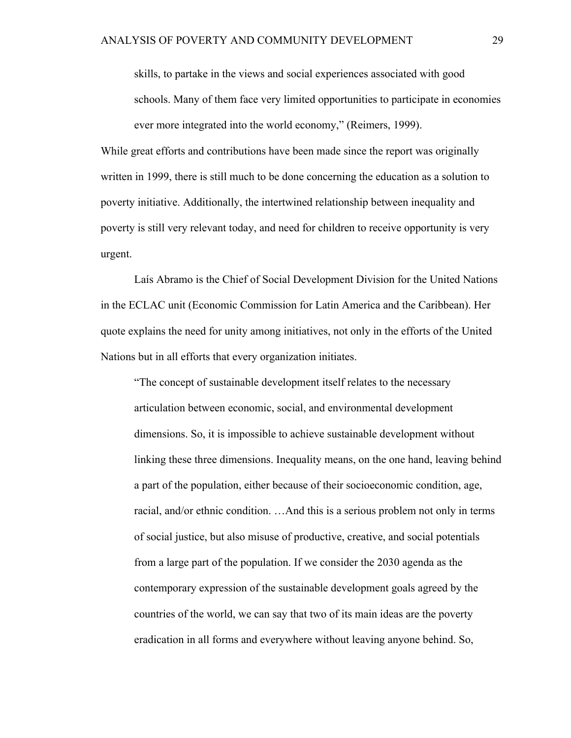skills, to partake in the views and social experiences associated with good schools. Many of them face very limited opportunities to participate in economies ever more integrated into the world economy," (Reimers, 1999).

While great efforts and contributions have been made since the report was originally written in 1999, there is still much to be done concerning the education as a solution to poverty initiative. Additionally, the intertwined relationship between inequality and poverty is still very relevant today, and need for children to receive opportunity is very urgent.

Laís Abramo is the Chief of Social Development Division for the United Nations in the ECLAC unit (Economic Commission for Latin America and the Caribbean). Her quote explains the need for unity among initiatives, not only in the efforts of the United Nations but in all efforts that every organization initiates.

"The concept of sustainable development itself relates to the necessary articulation between economic, social, and environmental development dimensions. So, it is impossible to achieve sustainable development without linking these three dimensions. Inequality means, on the one hand, leaving behind a part of the population, either because of their socioeconomic condition, age, racial, and/or ethnic condition. …And this is a serious problem not only in terms of social justice, but also misuse of productive, creative, and social potentials from a large part of the population. If we consider the 2030 agenda as the contemporary expression of the sustainable development goals agreed by the countries of the world, we can say that two of its main ideas are the poverty eradication in all forms and everywhere without leaving anyone behind. So,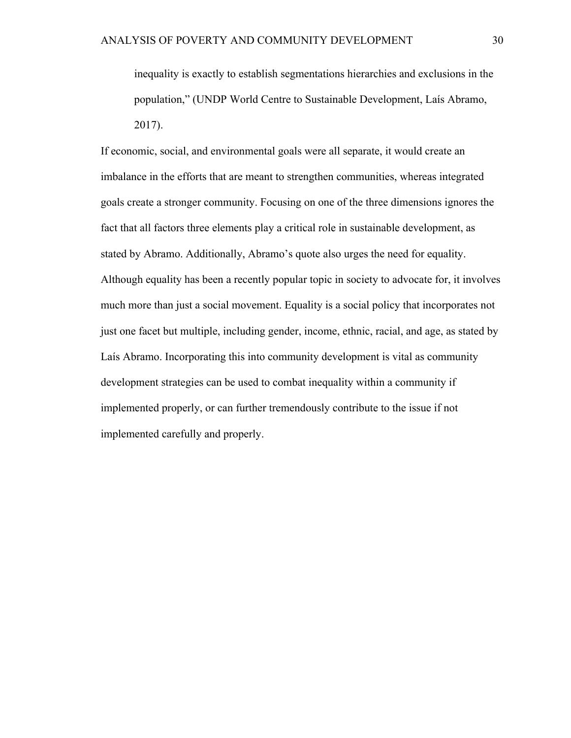inequality is exactly to establish segmentations hierarchies and exclusions in the population," (UNDP World Centre to Sustainable Development, Laís Abramo, 2017).

If economic, social, and environmental goals were all separate, it would create an imbalance in the efforts that are meant to strengthen communities, whereas integrated goals create a stronger community. Focusing on one of the three dimensions ignores the fact that all factors three elements play a critical role in sustainable development, as stated by Abramo. Additionally, Abramo's quote also urges the need for equality. Although equality has been a recently popular topic in society to advocate for, it involves much more than just a social movement. Equality is a social policy that incorporates not just one facet but multiple, including gender, income, ethnic, racial, and age, as stated by Laís Abramo. Incorporating this into community development is vital as community development strategies can be used to combat inequality within a community if implemented properly, or can further tremendously contribute to the issue if not implemented carefully and properly.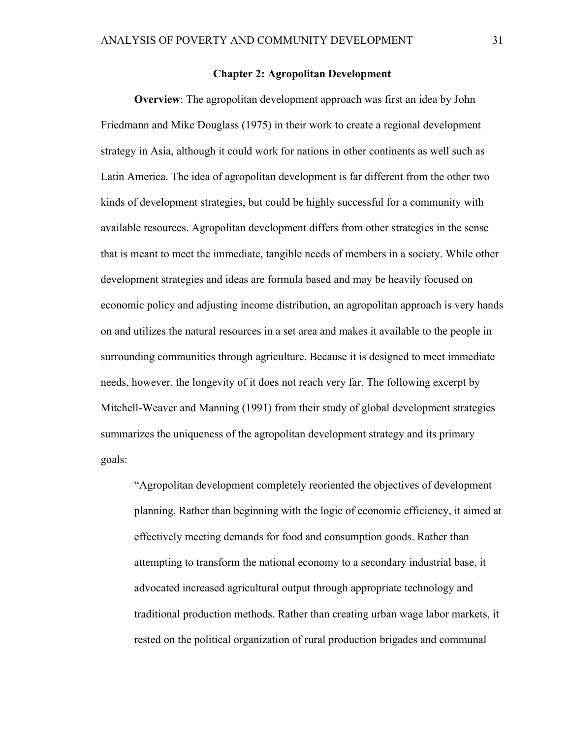### **Chapter 2: Agropolitan Development**

**Overview**: The agropolitan development approach was first an idea by John Friedmann and Mike Douglass (1975) in their work to create a regional development strategy in Asia, although it could work for nations in other continents as well such as Latin America. The idea of agropolitan development is far different from the other two kinds of development strategies, but could be highly successful for a community with available resources. Agropolitan development differs from other strategies in the sense that is meant to meet the immediate, tangible needs of members in a society. While other development strategies and ideas are formula based and may be heavily focused on economic policy and adjusting income distribution, an agropolitan approach is very hands on and utilizes the natural resources in a set area and makes it available to the people in surrounding communities through agriculture. Because it is designed to meet immediate needs, however, the longevity of it does not reach very far. The following excerpt by Mitchell-Weaver and Manning (1991) from their study of global development strategies summarizes the uniqueness of the agropolitan development strategy and its primary goals:

"Agropolitan development completely reoriented the objectives of development planning. Rather than beginning with the logic of economic efficiency, it aimed at effectively meeting demands for food and consumption goods. Rather than attempting to transform the national economy to a secondary industrial base, it advocated increased agricultural output through appropriate technology and traditional production methods. Rather than creating urban wage labor markets, it rested on the political organization of rural production brigades and communal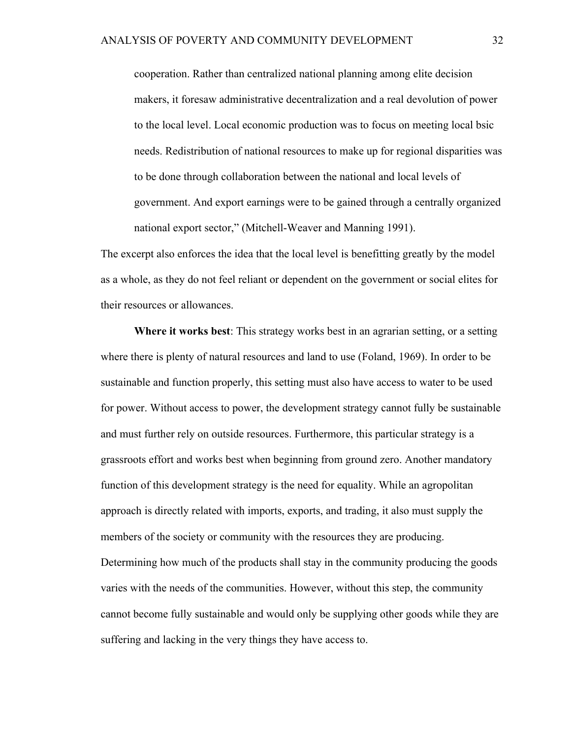cooperation. Rather than centralized national planning among elite decision makers, it foresaw administrative decentralization and a real devolution of power to the local level. Local economic production was to focus on meeting local bsic needs. Redistribution of national resources to make up for regional disparities was to be done through collaboration between the national and local levels of government. And export earnings were to be gained through a centrally organized national export sector," (Mitchell-Weaver and Manning 1991).

The excerpt also enforces the idea that the local level is benefitting greatly by the model as a whole, as they do not feel reliant or dependent on the government or social elites for their resources or allowances.

**Where it works best**: This strategy works best in an agrarian setting, or a setting where there is plenty of natural resources and land to use (Foland, 1969). In order to be sustainable and function properly, this setting must also have access to water to be used for power. Without access to power, the development strategy cannot fully be sustainable and must further rely on outside resources. Furthermore, this particular strategy is a grassroots effort and works best when beginning from ground zero. Another mandatory function of this development strategy is the need for equality. While an agropolitan approach is directly related with imports, exports, and trading, it also must supply the members of the society or community with the resources they are producing. Determining how much of the products shall stay in the community producing the goods varies with the needs of the communities. However, without this step, the community cannot become fully sustainable and would only be supplying other goods while they are suffering and lacking in the very things they have access to.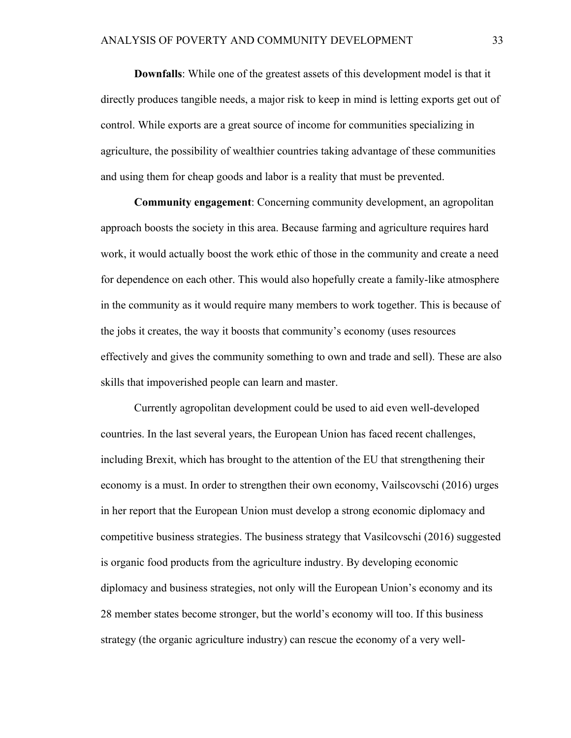**Downfalls**: While one of the greatest assets of this development model is that it directly produces tangible needs, a major risk to keep in mind is letting exports get out of control. While exports are a great source of income for communities specializing in agriculture, the possibility of wealthier countries taking advantage of these communities and using them for cheap goods and labor is a reality that must be prevented.

**Community engagement**: Concerning community development, an agropolitan approach boosts the society in this area. Because farming and agriculture requires hard work, it would actually boost the work ethic of those in the community and create a need for dependence on each other. This would also hopefully create a family-like atmosphere in the community as it would require many members to work together. This is because of the jobs it creates, the way it boosts that community's economy (uses resources effectively and gives the community something to own and trade and sell). These are also skills that impoverished people can learn and master.

Currently agropolitan development could be used to aid even well-developed countries. In the last several years, the European Union has faced recent challenges, including Brexit, which has brought to the attention of the EU that strengthening their economy is a must. In order to strengthen their own economy, Vailscovschi (2016) urges in her report that the European Union must develop a strong economic diplomacy and competitive business strategies. The business strategy that Vasilcovschi (2016) suggested is organic food products from the agriculture industry. By developing economic diplomacy and business strategies, not only will the European Union's economy and its 28 member states become stronger, but the world's economy will too. If this business strategy (the organic agriculture industry) can rescue the economy of a very well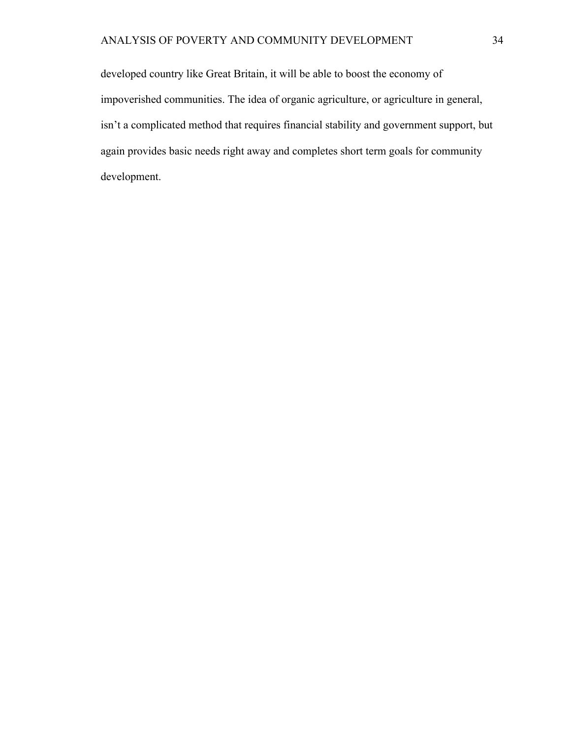developed country like Great Britain, it will be able to boost the economy of impoverished communities. The idea of organic agriculture, or agriculture in general, isn't a complicated method that requires financial stability and government support, but again provides basic needs right away and completes short term goals for community development.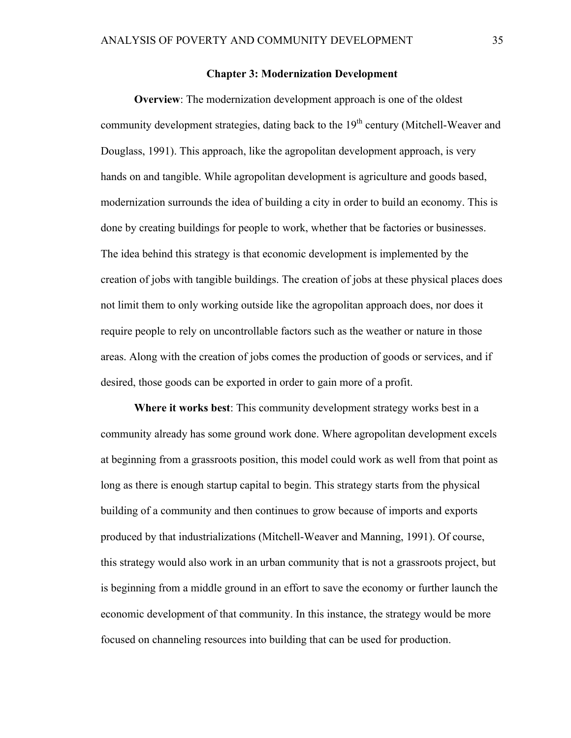#### **Chapter 3: Modernization Development**

**Overview**: The modernization development approach is one of the oldest community development strategies, dating back to the  $19<sup>th</sup>$  century (Mitchell-Weaver and Douglass, 1991). This approach, like the agropolitan development approach, is very hands on and tangible. While agropolitan development is agriculture and goods based, modernization surrounds the idea of building a city in order to build an economy. This is done by creating buildings for people to work, whether that be factories or businesses. The idea behind this strategy is that economic development is implemented by the creation of jobs with tangible buildings. The creation of jobs at these physical places does not limit them to only working outside like the agropolitan approach does, nor does it require people to rely on uncontrollable factors such as the weather or nature in those areas. Along with the creation of jobs comes the production of goods or services, and if desired, those goods can be exported in order to gain more of a profit.

**Where it works best**: This community development strategy works best in a community already has some ground work done. Where agropolitan development excels at beginning from a grassroots position, this model could work as well from that point as long as there is enough startup capital to begin. This strategy starts from the physical building of a community and then continues to grow because of imports and exports produced by that industrializations (Mitchell-Weaver and Manning, 1991). Of course, this strategy would also work in an urban community that is not a grassroots project, but is beginning from a middle ground in an effort to save the economy or further launch the economic development of that community. In this instance, the strategy would be more focused on channeling resources into building that can be used for production.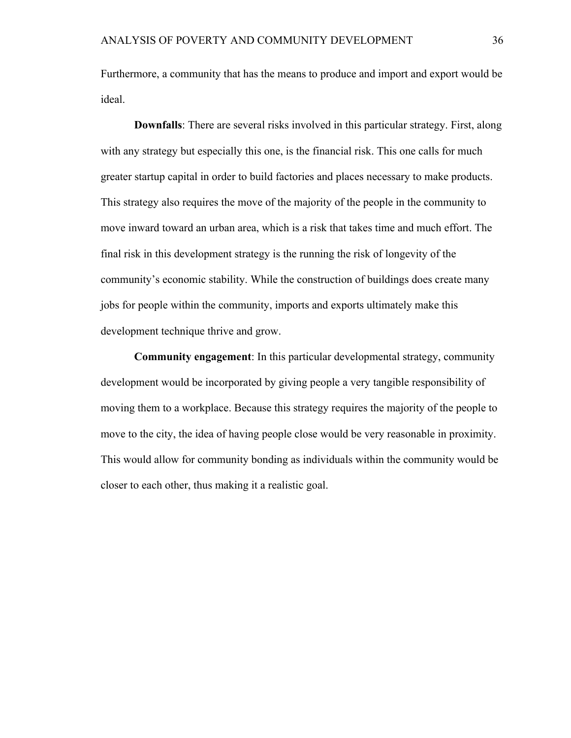Furthermore, a community that has the means to produce and import and export would be ideal.

**Downfalls**: There are several risks involved in this particular strategy. First, along with any strategy but especially this one, is the financial risk. This one calls for much greater startup capital in order to build factories and places necessary to make products. This strategy also requires the move of the majority of the people in the community to move inward toward an urban area, which is a risk that takes time and much effort. The final risk in this development strategy is the running the risk of longevity of the community's economic stability. While the construction of buildings does create many jobs for people within the community, imports and exports ultimately make this development technique thrive and grow.

**Community engagement**: In this particular developmental strategy, community development would be incorporated by giving people a very tangible responsibility of moving them to a workplace. Because this strategy requires the majority of the people to move to the city, the idea of having people close would be very reasonable in proximity. This would allow for community bonding as individuals within the community would be closer to each other, thus making it a realistic goal.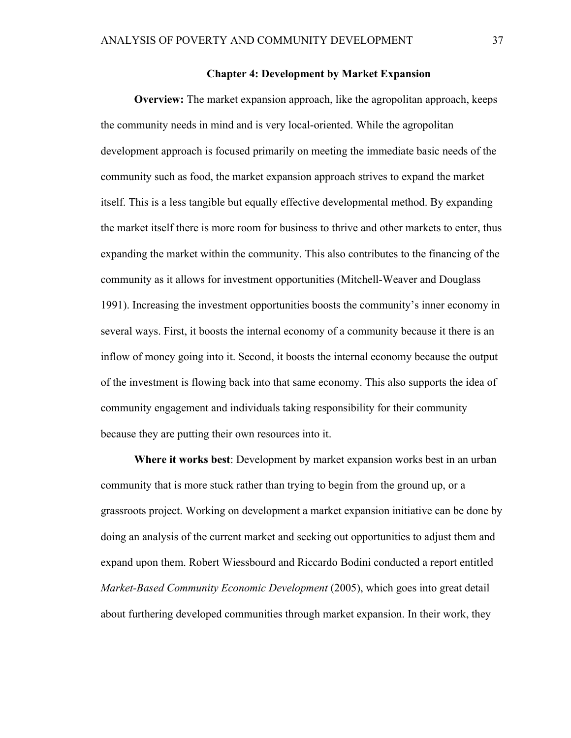### **Chapter 4: Development by Market Expansion**

**Overview:** The market expansion approach, like the agropolitan approach, keeps the community needs in mind and is very local-oriented. While the agropolitan development approach is focused primarily on meeting the immediate basic needs of the community such as food, the market expansion approach strives to expand the market itself. This is a less tangible but equally effective developmental method. By expanding the market itself there is more room for business to thrive and other markets to enter, thus expanding the market within the community. This also contributes to the financing of the community as it allows for investment opportunities (Mitchell-Weaver and Douglass 1991). Increasing the investment opportunities boosts the community's inner economy in several ways. First, it boosts the internal economy of a community because it there is an inflow of money going into it. Second, it boosts the internal economy because the output of the investment is flowing back into that same economy. This also supports the idea of community engagement and individuals taking responsibility for their community because they are putting their own resources into it.

**Where it works best**: Development by market expansion works best in an urban community that is more stuck rather than trying to begin from the ground up, or a grassroots project. Working on development a market expansion initiative can be done by doing an analysis of the current market and seeking out opportunities to adjust them and expand upon them. Robert Wiessbourd and Riccardo Bodini conducted a report entitled *Market-Based Community Economic Development* (2005), which goes into great detail about furthering developed communities through market expansion. In their work, they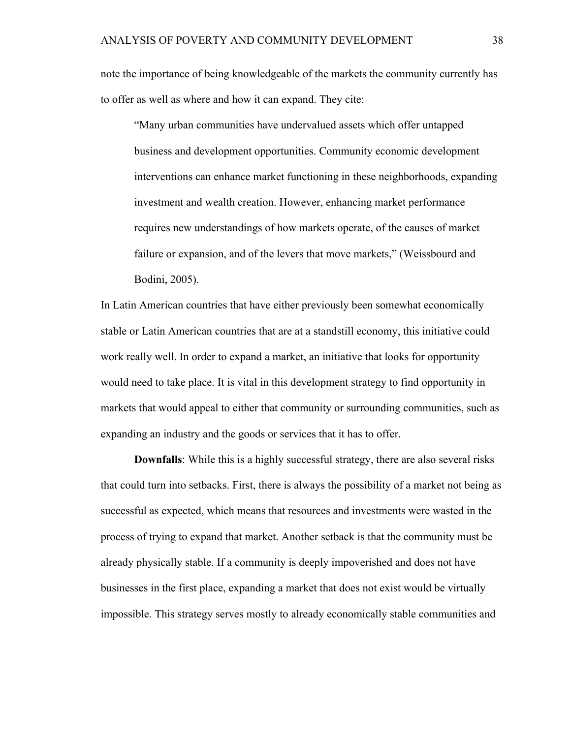note the importance of being knowledgeable of the markets the community currently has to offer as well as where and how it can expand. They cite:

"Many urban communities have undervalued assets which offer untapped business and development opportunities. Community economic development interventions can enhance market functioning in these neighborhoods, expanding investment and wealth creation. However, enhancing market performance requires new understandings of how markets operate, of the causes of market failure or expansion, and of the levers that move markets," (Weissbourd and Bodini, 2005).

In Latin American countries that have either previously been somewhat economically stable or Latin American countries that are at a standstill economy, this initiative could work really well. In order to expand a market, an initiative that looks for opportunity would need to take place. It is vital in this development strategy to find opportunity in markets that would appeal to either that community or surrounding communities, such as expanding an industry and the goods or services that it has to offer.

**Downfalls**: While this is a highly successful strategy, there are also several risks that could turn into setbacks. First, there is always the possibility of a market not being as successful as expected, which means that resources and investments were wasted in the process of trying to expand that market. Another setback is that the community must be already physically stable. If a community is deeply impoverished and does not have businesses in the first place, expanding a market that does not exist would be virtually impossible. This strategy serves mostly to already economically stable communities and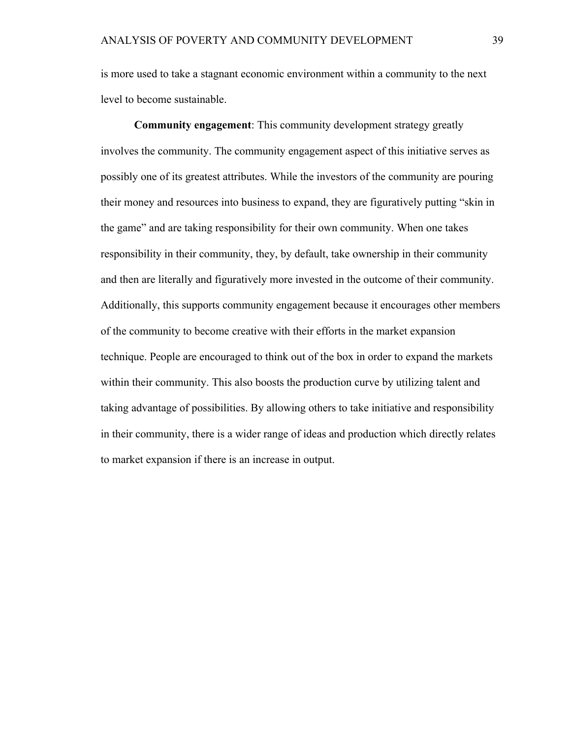is more used to take a stagnant economic environment within a community to the next level to become sustainable.

**Community engagement**: This community development strategy greatly involves the community. The community engagement aspect of this initiative serves as possibly one of its greatest attributes. While the investors of the community are pouring their money and resources into business to expand, they are figuratively putting "skin in the game" and are taking responsibility for their own community. When one takes responsibility in their community, they, by default, take ownership in their community and then are literally and figuratively more invested in the outcome of their community. Additionally, this supports community engagement because it encourages other members of the community to become creative with their efforts in the market expansion technique. People are encouraged to think out of the box in order to expand the markets within their community. This also boosts the production curve by utilizing talent and taking advantage of possibilities. By allowing others to take initiative and responsibility in their community, there is a wider range of ideas and production which directly relates to market expansion if there is an increase in output.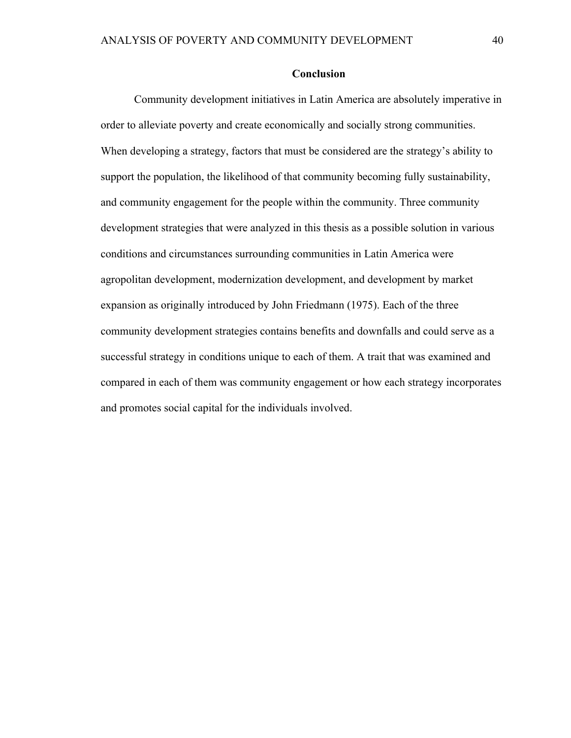# **Conclusion**

Community development initiatives in Latin America are absolutely imperative in order to alleviate poverty and create economically and socially strong communities. When developing a strategy, factors that must be considered are the strategy's ability to support the population, the likelihood of that community becoming fully sustainability, and community engagement for the people within the community. Three community development strategies that were analyzed in this thesis as a possible solution in various conditions and circumstances surrounding communities in Latin America were agropolitan development, modernization development, and development by market expansion as originally introduced by John Friedmann (1975). Each of the three community development strategies contains benefits and downfalls and could serve as a successful strategy in conditions unique to each of them. A trait that was examined and compared in each of them was community engagement or how each strategy incorporates and promotes social capital for the individuals involved.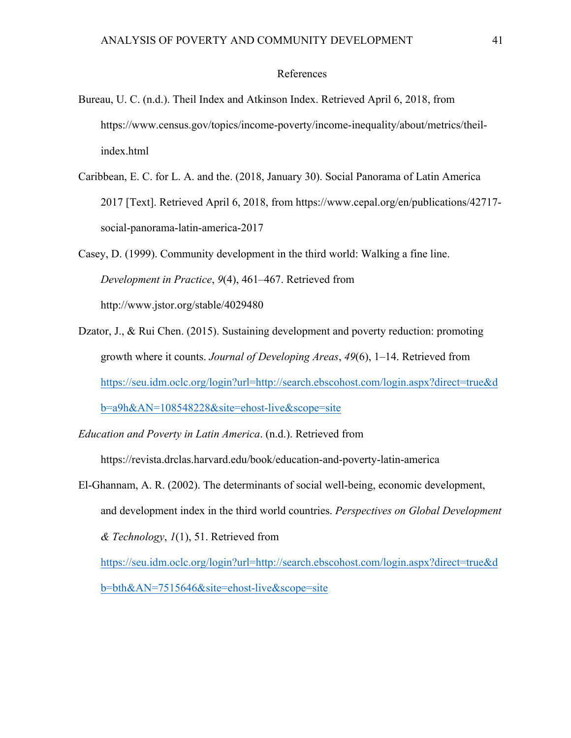### References

- Bureau, U. C. (n.d.). Theil Index and Atkinson Index. Retrieved April 6, 2018, from https://www.census.gov/topics/income-poverty/income-inequality/about/metrics/theilindex.html
- Caribbean, E. C. for L. A. and the. (2018, January 30). Social Panorama of Latin America 2017 [Text]. Retrieved April 6, 2018, from https://www.cepal.org/en/publications/42717 social-panorama-latin-america-2017
- Casey, D. (1999). Community development in the third world: Walking a fine line. *Development in Practice*, *9*(4), 461–467. Retrieved from http://www.jstor.org/stable/4029480
- Dzator, J., & Rui Chen. (2015). Sustaining development and poverty reduction: promoting growth where it counts. *Journal of Developing Areas*, *49*(6), 1–14. Retrieved from https://seu.idm.oclc.org/login?url=http://search.ebscohost.com/login.aspx?direct=true&d b=a9h&AN=108548228&site=ehost-live&scope=site
- *Education and Poverty in Latin America*. (n.d.). Retrieved from

https://revista.drclas.harvard.edu/book/education-and-poverty-latin-america

El-Ghannam, A. R. (2002). The determinants of social well-being, economic development, and development index in the third world countries. *Perspectives on Global Development & Technology*, *1*(1), 51. Retrieved from

https://seu.idm.oclc.org/login?url=http://search.ebscohost.com/login.aspx?direct=true&d b=bth&AN=7515646&site=ehost-live&scope=site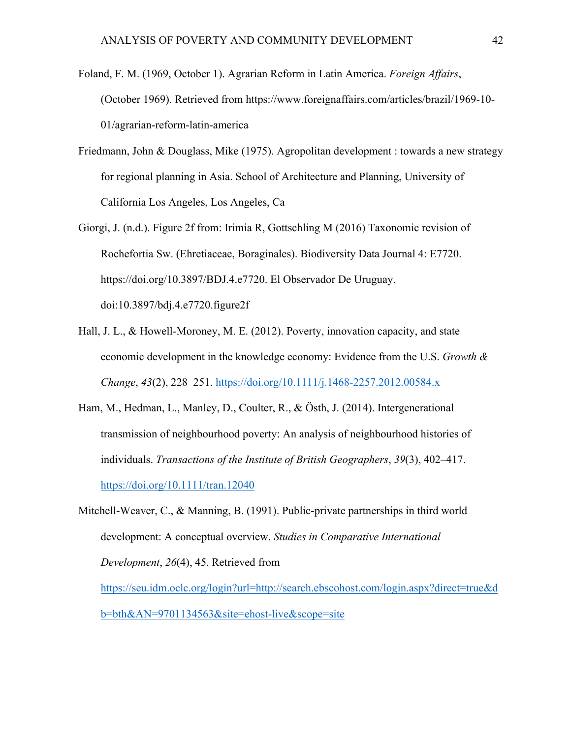- Foland, F. M. (1969, October 1). Agrarian Reform in Latin America. *Foreign Affairs*, (October 1969). Retrieved from https://www.foreignaffairs.com/articles/brazil/1969-10- 01/agrarian-reform-latin-america
- Friedmann, John & Douglass, Mike (1975). Agropolitan development : towards a new strategy for regional planning in Asia. School of Architecture and Planning, University of California Los Angeles, Los Angeles, Ca
- Giorgi, J. (n.d.). Figure 2f from: Irimia R, Gottschling M (2016) Taxonomic revision of Rochefortia Sw. (Ehretiaceae, Boraginales). Biodiversity Data Journal 4: E7720. https://doi.org/10.3897/BDJ.4.e7720. El Observador De Uruguay. doi:10.3897/bdj.4.e7720.figure2f
- Hall, J. L., & Howell-Moroney, M. E. (2012). Poverty, innovation capacity, and state economic development in the knowledge economy: Evidence from the U.S. *Growth & Change*, *43*(2), 228–251. https://doi.org/10.1111/j.1468-2257.2012.00584.x
- Ham, M., Hedman, L., Manley, D., Coulter, R., & Östh, J. (2014). Intergenerational transmission of neighbourhood poverty: An analysis of neighbourhood histories of individuals. *Transactions of the Institute of British Geographers*, *39*(3), 402–417. https://doi.org/10.1111/tran.12040
- Mitchell-Weaver, C., & Manning, B. (1991). Public-private partnerships in third world development: A conceptual overview. *Studies in Comparative International Development*, *26*(4), 45. Retrieved from https://seu.idm.oclc.org/login?url=http://search.ebscohost.com/login.aspx?direct=true&d

b=bth&AN=9701134563&site=ehost-live&scope=site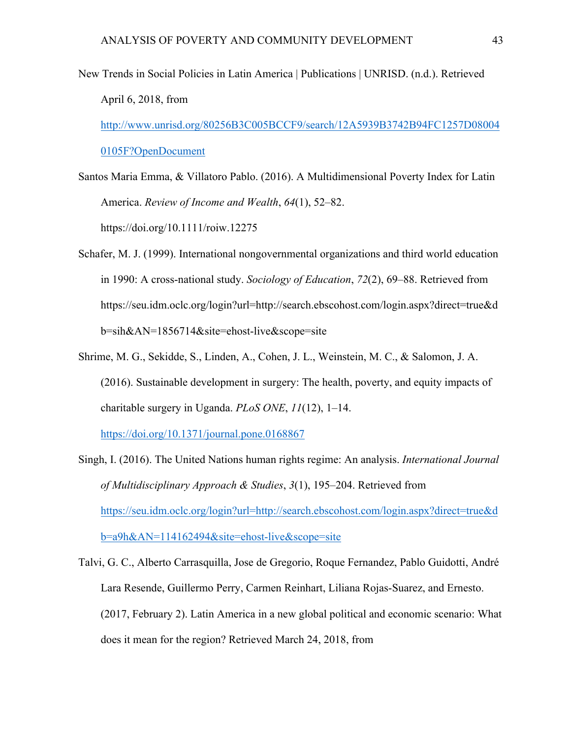- New Trends in Social Policies in Latin America | Publications | UNRISD. (n.d.). Retrieved April 6, 2018, from http://www.unrisd.org/80256B3C005BCCF9/search/12A5939B3742B94FC1257D08004 0105F?OpenDocument
- Santos Maria Emma, & Villatoro Pablo. (2016). A Multidimensional Poverty Index for Latin America. *Review of Income and Wealth*, *64*(1), 52–82. https://doi.org/10.1111/roiw.12275
- Schafer, M. J. (1999). International nongovernmental organizations and third world education in 1990: A cross-national study. *Sociology of Education*, *72*(2), 69–88. Retrieved from https://seu.idm.oclc.org/login?url=http://search.ebscohost.com/login.aspx?direct=true&d b=sih&AN=1856714&site=ehost-live&scope=site
- Shrime, M. G., Sekidde, S., Linden, A., Cohen, J. L., Weinstein, M. C., & Salomon, J. A. (2016). Sustainable development in surgery: The health, poverty, and equity impacts of charitable surgery in Uganda. *PLoS ONE*, *11*(12), 1–14.

https://doi.org/10.1371/journal.pone.0168867

- Singh, I. (2016). The United Nations human rights regime: An analysis. *International Journal of Multidisciplinary Approach & Studies*, *3*(1), 195–204. Retrieved from https://seu.idm.oclc.org/login?url=http://search.ebscohost.com/login.aspx?direct=true&d b=a9h&AN=114162494&site=ehost-live&scope=site
- Talvi, G. C., Alberto Carrasquilla, Jose de Gregorio, Roque Fernandez, Pablo Guidotti, André Lara Resende, Guillermo Perry, Carmen Reinhart, Liliana Rojas-Suarez, and Ernesto. (2017, February 2). Latin America in a new global political and economic scenario: What does it mean for the region? Retrieved March 24, 2018, from